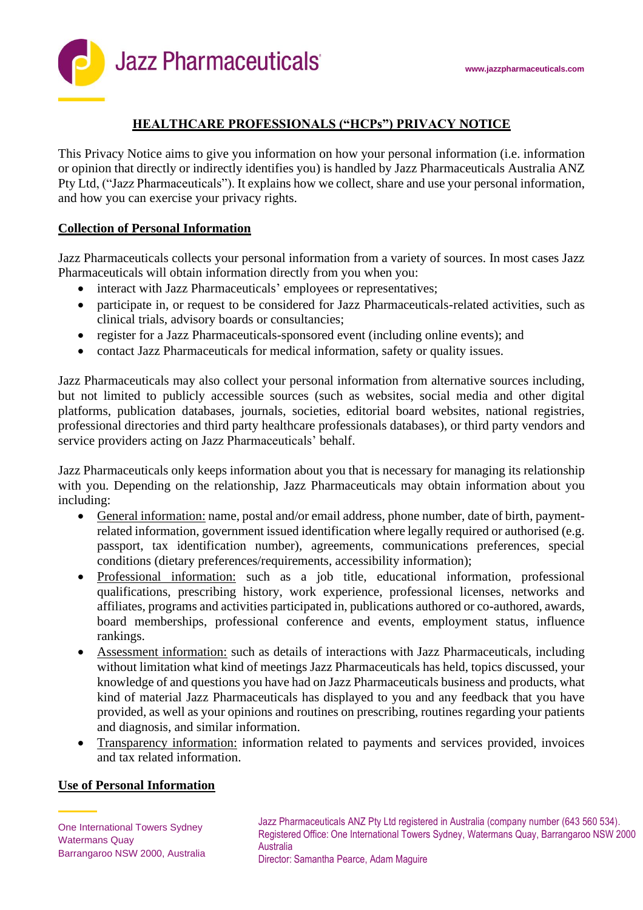

# **HEALTHCARE PROFESSIONALS ("HCPs") PRIVACY NOTICE**

This Privacy Notice aims to give you information on how your personal information (i.e. information or opinion that directly or indirectly identifies you) is handled by Jazz Pharmaceuticals Australia ANZ Pty Ltd, ("Jazz Pharmaceuticals"). It explains how we collect, share and use your personal information, and how you can exercise your privacy rights.

### **Collection of Personal Information**

Jazz Pharmaceuticals collects your personal information from a variety of sources. In most cases Jazz Pharmaceuticals will obtain information directly from you when you:

- interact with Jazz Pharmaceuticals' employees or representatives;
- participate in, or request to be considered for Jazz Pharmaceuticals-related activities, such as clinical trials, advisory boards or consultancies;
- register for a Jazz Pharmaceuticals-sponsored event (including online events); and
- contact Jazz Pharmaceuticals for medical information, safety or quality issues.

Jazz Pharmaceuticals may also collect your personal information from alternative sources including, but not limited to publicly accessible sources (such as websites, social media and other digital platforms, publication databases, journals, societies, editorial board websites, national registries, professional directories and third party healthcare professionals databases), or third party vendors and service providers acting on Jazz Pharmaceuticals' behalf.

Jazz Pharmaceuticals only keeps information about you that is necessary for managing its relationship with you. Depending on the relationship, Jazz Pharmaceuticals may obtain information about you including:

- General information: name, postal and/or email address, phone number, date of birth, paymentrelated information, government issued identification where legally required or authorised (e.g. passport, tax identification number), agreements, communications preferences, special conditions (dietary preferences/requirements, accessibility information);
- Professional information: such as a job title, educational information, professional qualifications, prescribing history, work experience, professional licenses, networks and affiliates, programs and activities participated in, publications authored or co-authored, awards, board memberships, professional conference and events, employment status, influence rankings.
- Assessment information: such as details of interactions with Jazz Pharmaceuticals, including without limitation what kind of meetings Jazz Pharmaceuticals has held, topics discussed, your knowledge of and questions you have had on Jazz Pharmaceuticals business and products, what kind of material Jazz Pharmaceuticals has displayed to you and any feedback that you have provided, as well as your opinions and routines on prescribing, routines regarding your patients and diagnosis, and similar information.
- Transparency information: information related to payments and services provided, invoices and tax related information.

# **Use of Personal Information**

Jazz Pharmaceuticals ANZ Pty Ltd registered in Australia (company number (643 560 534). Registered Office: One International Towers Sydney, Watermans Quay, Barrangaroo NSW 2000 Australia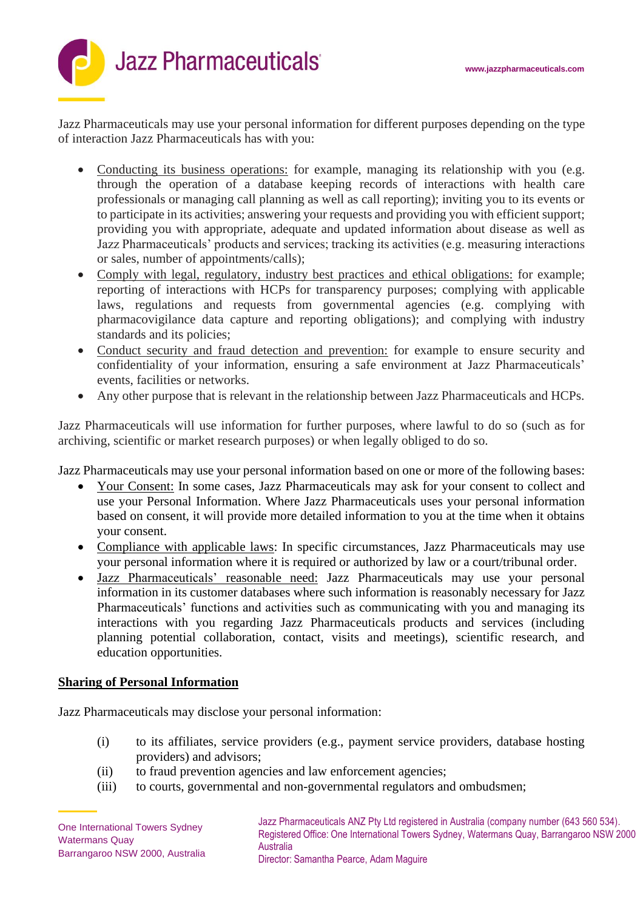

Jazz Pharmaceuticals may use your personal information for different purposes depending on the type of interaction Jazz Pharmaceuticals has with you:

- Conducting its business operations: for example, managing its relationship with you (e.g. through the operation of a database keeping records of interactions with health care professionals or managing call planning as well as call reporting); inviting you to its events or to participate in its activities; answering your requests and providing you with efficient support; providing you with appropriate, adequate and updated information about disease as well as Jazz Pharmaceuticals' products and services; tracking its activities (e.g. measuring interactions or sales, number of appointments/calls);
- Comply with legal, regulatory, industry best practices and ethical obligations: for example; reporting of interactions with HCPs for transparency purposes; complying with applicable laws, regulations and requests from governmental agencies (e.g. complying with pharmacovigilance data capture and reporting obligations); and complying with industry standards and its policies;
- Conduct security and fraud detection and prevention: for example to ensure security and confidentiality of your information, ensuring a safe environment at Jazz Pharmaceuticals' events, facilities or networks.
- Any other purpose that is relevant in the relationship between Jazz Pharmaceuticals and HCPs.

Jazz Pharmaceuticals will use information for further purposes, where lawful to do so (such as for archiving, scientific or market research purposes) or when legally obliged to do so.

Jazz Pharmaceuticals may use your personal information based on one or more of the following bases:

- Your Consent: In some cases, Jazz Pharmaceuticals may ask for your consent to collect and use your Personal Information. Where Jazz Pharmaceuticals uses your personal information based on consent, it will provide more detailed information to you at the time when it obtains your consent.
- Compliance with applicable laws: In specific circumstances, Jazz Pharmaceuticals may use your personal information where it is required or authorized by law or a court/tribunal order.
- Jazz Pharmaceuticals' reasonable need: Jazz Pharmaceuticals may use your personal information in its customer databases where such information is reasonably necessary for Jazz Pharmaceuticals' functions and activities such as communicating with you and managing its interactions with you regarding Jazz Pharmaceuticals products and services (including planning potential collaboration, contact, visits and meetings), scientific research, and education opportunities.

#### **Sharing of Personal Information**

Jazz Pharmaceuticals may disclose your personal information:

- (i) to its affiliates, service providers (e.g., payment service providers, database hosting providers) and advisors;
- (ii) to fraud prevention agencies and law enforcement agencies;
- (iii) to courts, governmental and non-governmental regulators and ombudsmen;

Jazz Pharmaceuticals ANZ Pty Ltd registered in Australia (company number (643 560 534). Registered Office: One International Towers Sydney, Watermans Quay, Barrangaroo NSW 2000 Australia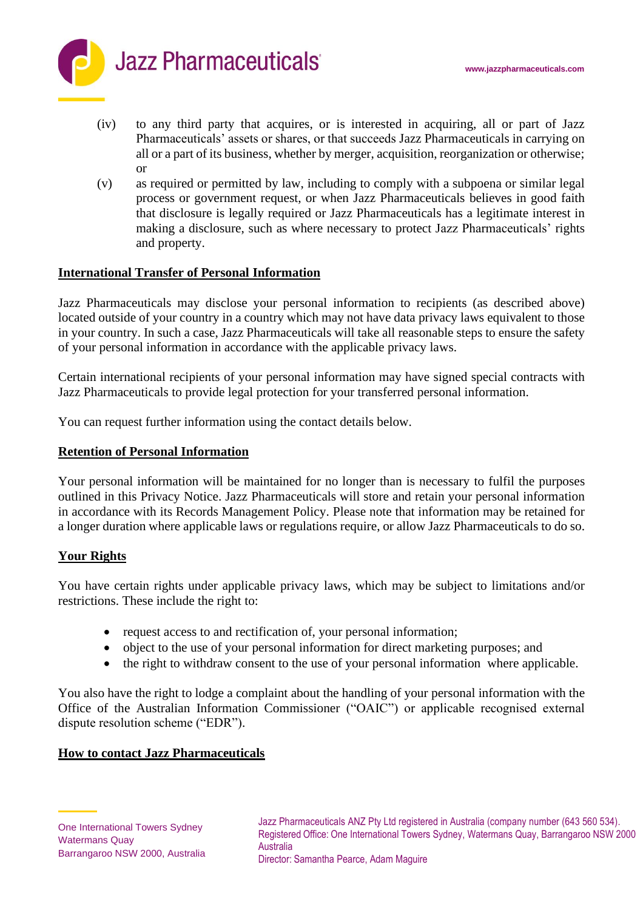

- (iv) to any third party that acquires, or is interested in acquiring, all or part of Jazz Pharmaceuticals' assets or shares, or that succeeds Jazz Pharmaceuticals in carrying on all or a part of its business, whether by merger, acquisition, reorganization or otherwise; or
- (v) as required or permitted by law, including to comply with a subpoena or similar legal process or government request, or when Jazz Pharmaceuticals believes in good faith that disclosure is legally required or Jazz Pharmaceuticals has a legitimate interest in making a disclosure, such as where necessary to protect Jazz Pharmaceuticals' rights and property.

#### **International Transfer of Personal Information**

Jazz Pharmaceuticals may disclose your personal information to recipients (as described above) located outside of your country in a country which may not have data privacy laws equivalent to those in your country. In such a case, Jazz Pharmaceuticals will take all reasonable steps to ensure the safety of your personal information in accordance with the applicable privacy laws.

Certain international recipients of your personal information may have signed special contracts with Jazz Pharmaceuticals to provide legal protection for your transferred personal information.

You can request further information using the contact details below.

### **Retention of Personal Information**

Your personal information will be maintained for no longer than is necessary to fulfil the purposes outlined in this Privacy Notice. Jazz Pharmaceuticals will store and retain your personal information in accordance with its Records Management Policy. Please note that information may be retained for a longer duration where applicable laws or regulations require, or allow Jazz Pharmaceuticals to do so.

# **Your Rights**

You have certain rights under applicable privacy laws, which may be subject to limitations and/or restrictions. These include the right to:

- request access to and rectification of, your personal information;
- object to the use of your personal information for direct marketing purposes; and
- the right to withdraw consent to the use of your personal information where applicable.

You also have the right to lodge a complaint about the handling of your personal information with the Office of the Australian Information Commissioner ("OAIC") or applicable recognised external dispute resolution scheme ("EDR").

#### **How to contact Jazz Pharmaceuticals**